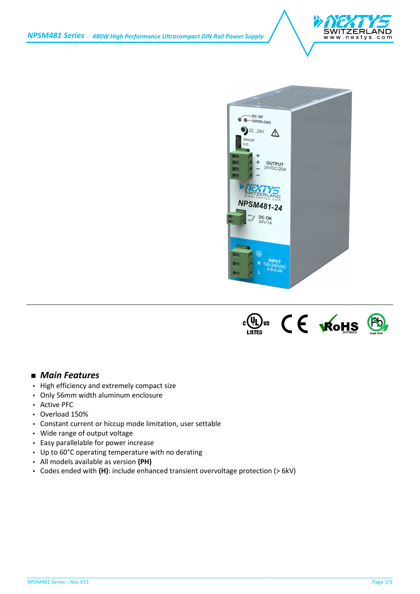





## *Main Features*

- ) High efficiency and extremely compact size
- Only 56mm width aluminum enclosure
- Active PFC
- Overload 150%
- Constant current or hiccup mode limitation, user settable
- Wide range of output voltage
- Easy parallelable for power increase
- Up to 60°C operating temperature with no derating
- All models available as version **(PH)**
- Codes ended with **(H)**: include enhanced transient overvoltage protection (> 6kV)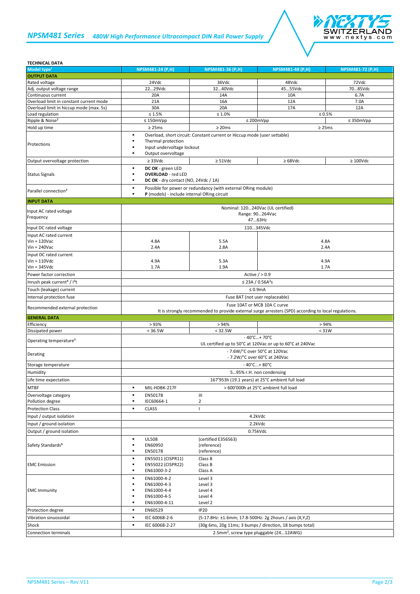## *NPSM481 Series 480W High Performance Ultracompact DIN Rail Power Supply*



| <b>TECHNICAL DATA</b>                               |                                                                                                                                                              |                                                         |                                                                                                |                                |
|-----------------------------------------------------|--------------------------------------------------------------------------------------------------------------------------------------------------------------|---------------------------------------------------------|------------------------------------------------------------------------------------------------|--------------------------------|
| Model type <sup>1</sup>                             | <b>NPSM481-24 (P,H)</b>                                                                                                                                      | NPSM481-36 (P,H)                                        | <b>NPSM481-48 (P,H)</b>                                                                        | NPSM481-72 (P,H)               |
| <b>OUTPUT DATA</b><br>Rated voltage                 | 24Vdc                                                                                                                                                        | 36Vdc                                                   | 48Vdc                                                                                          | 72Vdc                          |
| Adj. output voltage range                           | 2229Vdc                                                                                                                                                      | 3240Vdc                                                 | 4555Vdc                                                                                        | 7085Vdc                        |
| Continuous current                                  | 20A                                                                                                                                                          | 14A                                                     | 10A                                                                                            | 6.7A                           |
| Overload limit in constant current mode             | 21A                                                                                                                                                          | 16A                                                     | 12A                                                                                            | 7.0A                           |
| Overload limit in hiccup mode (max. 5s)             | 30A                                                                                                                                                          | 20A                                                     | 17A                                                                                            | 12A                            |
| Load regulation<br>Ripple & Noise <sup>2</sup>      | $\leq 1.5\%$<br>$\leq 150$ mVpp                                                                                                                              | $\leq 1.0\%$                                            | $\leq$ 200mVpp                                                                                 | $\leq 0.5\%$<br>$\leq$ 350mVpp |
| Hold up time                                        | $\geq$ 25ms                                                                                                                                                  | $\geq$ 20ms                                             |                                                                                                | $\geq$ 25ms                    |
|                                                     | ٠                                                                                                                                                            |                                                         |                                                                                                |                                |
| Protections                                         | Overload, short circuit: Constant current or Hiccup mode (user settable)<br>Thermal protection<br>٠<br>Input undervoltage lockout<br>Output overvoltage<br>٠ |                                                         |                                                                                                |                                |
| Output overvoltage protection                       | $\geq$ 33Vdc                                                                                                                                                 | $\geq$ 51Vdc                                            | $\geq 68$ Vdc                                                                                  | $\geq 100$ Vdc                 |
| <b>Status Signals</b>                               | DC OK - green LED<br>٠<br><b>OVERLOAD</b> - red LED<br>٠<br>DC OK - dry contact (NO, 24Vdc / 1A)                                                             |                                                         |                                                                                                |                                |
| Parallel connection <sup>3</sup>                    | Possible for power or redundancy (with external ORing module)<br>٠<br>P (models) - include internal ORing circuit<br>٠                                       |                                                         |                                                                                                |                                |
| <b>INPUT DATA</b>                                   |                                                                                                                                                              |                                                         |                                                                                                |                                |
| Input AC rated voltage<br>Frequency                 | Nominal: 120240Vac (UL certified)<br>Range: 90264Vac<br>4763Hz                                                                                               |                                                         |                                                                                                |                                |
| Input DC rated voltage                              | 110345Vdc                                                                                                                                                    |                                                         |                                                                                                |                                |
| Input AC rated current                              |                                                                                                                                                              |                                                         |                                                                                                |                                |
| $Vin = 120$ Vac<br>$Vin = 240$ Vac                  | 4.8A<br>2.4A                                                                                                                                                 | 5.5A<br>2.8A                                            |                                                                                                | 4.8A<br>2.4A                   |
| Input DC rated current                              |                                                                                                                                                              |                                                         |                                                                                                |                                |
| $V$ in = 110 $V$ dc                                 | 4.9A                                                                                                                                                         | 5.3A                                                    |                                                                                                | 4.9A                           |
| $Vin = 345Vdc$                                      | 1.7A                                                                                                                                                         | 1.9A                                                    |                                                                                                | 1.7A                           |
| Power factor correction                             | Active $/ > 0.9$                                                                                                                                             |                                                         |                                                                                                |                                |
| Inrush peak current <sup>4</sup> / I <sup>2</sup> t | ≤ 23A / 0.56A <sup>2</sup> s                                                                                                                                 |                                                         |                                                                                                |                                |
| Touch (leakage) current                             | $\leq 0.9$ mA                                                                                                                                                |                                                         |                                                                                                |                                |
| Internal protection fuse                            | Fuse 8AT (not user replaceable)                                                                                                                              |                                                         |                                                                                                |                                |
| Recommended external protection                     | Fuse 10AT or MCB 10A C curve<br>It is strongly recommended to provide external surge arresters (SPD) according to local regulations.                         |                                                         |                                                                                                |                                |
| <b>GENERAL DATA</b>                                 |                                                                                                                                                              |                                                         |                                                                                                |                                |
| Efficiency                                          | >93%                                                                                                                                                         | > 94%<br>< 32.5W                                        |                                                                                                | > 94%<br>< 31W                 |
|                                                     |                                                                                                                                                              |                                                         |                                                                                                |                                |
| Dissipated power                                    | < 36.5W                                                                                                                                                      |                                                         |                                                                                                |                                |
| Operating temperature <sup>5</sup>                  |                                                                                                                                                              |                                                         | $-40^{\circ}$ C + 70 $^{\circ}$ C<br>UL certified up to 50°C at 120Vac or up to 60°C at 240Vac |                                |
| Derating                                            |                                                                                                                                                              |                                                         | - 7.6W/°C over 50°C at 120Vac<br>- 7.2W/°C over 60°C at 240Vac                                 |                                |
| Storage temperature                                 |                                                                                                                                                              |                                                         | $-40^{\circ}$ C + 80 $^{\circ}$ C                                                              |                                |
| Humidity                                            |                                                                                                                                                              |                                                         | 595% r.H. non condensing                                                                       |                                |
| Life time expectation                               |                                                                                                                                                              |                                                         | 167'953h (19.1 years) at 25°C ambient full load                                                |                                |
| <b>MTBF</b>                                         | MIL-HDBK-217F<br>٠                                                                                                                                           |                                                         | > 600'000h at 25°C ambient full load                                                           |                                |
| Overvoltage category                                | EN50178<br>٠<br>IEC60664-1                                                                                                                                   | $\ensuremath{\mathsf{III}}\xspace$<br>$\overline{2}$    |                                                                                                |                                |
| Pollution degree<br><b>Protection Class</b>         | <b>CLASS</b><br>٠                                                                                                                                            | $\mathbf{I}$                                            |                                                                                                |                                |
| Input / output isolation                            |                                                                                                                                                              |                                                         | 4.2kVdc                                                                                        |                                |
| Input / ground isolation                            |                                                                                                                                                              |                                                         | 2.2kVdc                                                                                        |                                |
| Output / ground isolation                           |                                                                                                                                                              |                                                         | 0.75kVdc                                                                                       |                                |
| Safety Standards <sup>6</sup>                       | <b>UL508</b><br>EN60950<br>EN50178<br>٠                                                                                                                      | (certified E356563)<br>(reference)<br>(reference)       |                                                                                                |                                |
| <b>EMC</b> Emission                                 | EN55011 (CISPR11)<br>٠<br>EN55022 (CISPR22)<br>٠<br>EN61000-3-2<br>٠                                                                                         | Class B<br>Class B<br>Class A                           |                                                                                                |                                |
| <b>EMC Immunity</b>                                 | EN61000-4-2<br>٠<br>EN61000-4-3<br>٠<br>EN61000-4-4<br>EN61000-4-5<br>٠<br>EN61000-4-11<br>٠                                                                 | Level 3<br>Level 3<br>Level 4<br>Level 4<br>Level 2     |                                                                                                |                                |
| Protection degree                                   | EN60529<br>٠                                                                                                                                                 | <b>IP20</b>                                             |                                                                                                |                                |
| Vibration sinuosoidal                               | IEC 60068-2-6<br>٠                                                                                                                                           | (5-17.8Hz: ±1.6mm; 17.8-500Hz: 2g 2hours / axis (X,Y,Z) |                                                                                                |                                |
| Shock                                               | IEC 60068-2-27<br>٠                                                                                                                                          |                                                         | (30g 6ms, 20g 11ms; 3 bumps / direction, 18 bumps total)                                       |                                |